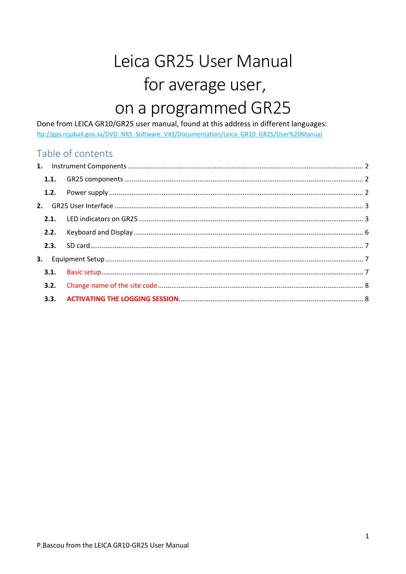# Leica GR25 User Manual for average user, on a programmed GR25

Done from LEICA GR10/GR25 user manual, found at this address in different languages: ftp://gps.rcjubail.gov.sa/DVD\_NRS\_Software\_V43/Documentation/Leica\_GR10\_GR25/User%20Manual

# Table of contents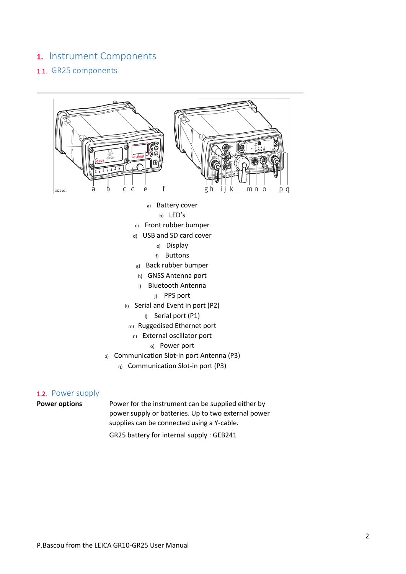## <span id="page-1-0"></span>**1.** Instrument Components

#### <span id="page-1-1"></span>1.1. GR25 components



#### <span id="page-1-2"></span>1.2. Power supply

**Power options** Power for the instrument can be supplied either by power supply or batteries. Up to two external power supplies can be connected using a Y-cable.

GR25 battery for internal supply : GEB241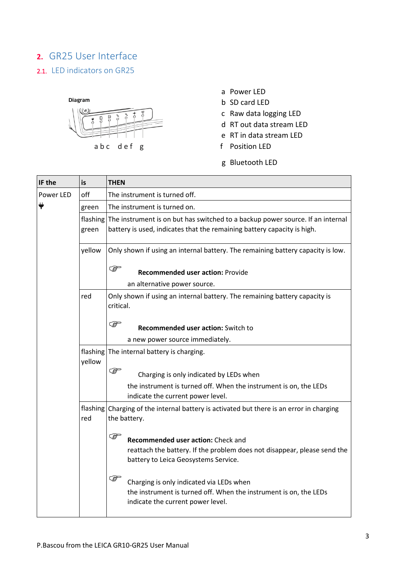# <span id="page-2-0"></span>**2.** GR25 User Interface

## <span id="page-2-1"></span>2.1. LED indicators on GR25



- a Power LED
- b SD card LED
- c Raw data logging LED
- d RT out data stream LED
- e RT in data stream LED
- 
- g Bluetooth LED

| IF the    | is                 | <b>THEN</b>                                                                                                                                                            |
|-----------|--------------------|------------------------------------------------------------------------------------------------------------------------------------------------------------------------|
| Power LED | off                | The instrument is turned off.                                                                                                                                          |
|           | green              | The instrument is turned on.                                                                                                                                           |
|           | flashing<br>green  | The instrument is on but has switched to a backup power source. If an internal<br>battery is used, indicates that the remaining battery capacity is high.              |
|           | yellow             | Only shown if using an internal battery. The remaining battery capacity is low.                                                                                        |
|           |                    | <b>PER</b><br><b>Recommended user action: Provide</b>                                                                                                                  |
|           |                    | an alternative power source.                                                                                                                                           |
|           | red                | Only shown if using an internal battery. The remaining battery capacity is<br>critical.                                                                                |
|           |                    | <b>PED</b><br>Recommended user action: Switch to                                                                                                                       |
|           |                    | a new power source immediately.                                                                                                                                        |
|           | flashing<br>yellow | The internal battery is charging.                                                                                                                                      |
|           |                    | $\mathbb{Q}$<br>Charging is only indicated by LEDs when                                                                                                                |
|           |                    | the instrument is turned off. When the instrument is on, the LEDs<br>indicate the current power level.                                                                 |
|           | flashing<br>red    | Charging of the internal battery is activated but there is an error in charging<br>the battery.                                                                        |
|           |                    | $\mathbb{Q}$<br>Recommended user action: Check and<br>reattach the battery. If the problem does not disappear, please send the<br>battery to Leica Geosystems Service. |
|           |                    | <b>PER</b><br>Charging is only indicated via LEDs when<br>the instrument is turned off. When the instrument is on, the LEDs<br>indicate the current power level.       |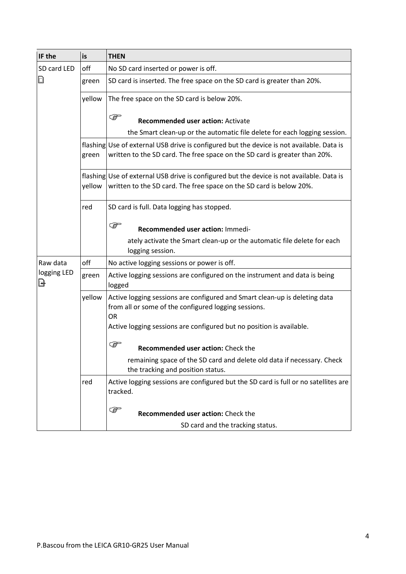| IF the           | is     | <b>THEN</b>                                                                                                                                                             |
|------------------|--------|-------------------------------------------------------------------------------------------------------------------------------------------------------------------------|
| SD card LED      | off    | No SD card inserted or power is off.                                                                                                                                    |
| D                | green  | SD card is inserted. The free space on the SD card is greater than 20%.                                                                                                 |
|                  | yellow | The free space on the SD card is below 20%.                                                                                                                             |
|                  |        | <b>PER</b><br><b>Recommended user action: Activate</b>                                                                                                                  |
|                  |        | the Smart clean-up or the automatic file delete for each logging session.                                                                                               |
|                  | green  | flashing Use of external USB drive is configured but the device is not available. Data is<br>written to the SD card. The free space on the SD card is greater than 20%. |
|                  | yellow | flashing Use of external USB drive is configured but the device is not available. Data is<br>written to the SD card. The free space on the SD card is below 20%.        |
|                  | red    | SD card is full. Data logging has stopped.                                                                                                                              |
|                  |        | $\mathbb{G}$<br>Recommended user action: Immedi-                                                                                                                        |
|                  |        | ately activate the Smart clean-up or the automatic file delete for each<br>logging session.                                                                             |
| Raw data         | off    | No active logging sessions or power is off.                                                                                                                             |
| logging LED<br>B | green  | Active logging sessions are configured on the instrument and data is being<br>logged                                                                                    |
|                  | yellow | Active logging sessions are configured and Smart clean-up is deleting data<br>from all or some of the configured logging sessions.<br>OR                                |
|                  |        | Active logging sessions are configured but no position is available.                                                                                                    |
|                  |        | ক্তে<br>Recommended user action: Check the                                                                                                                              |
|                  |        | remaining space of the SD card and delete old data if necessary. Check<br>the tracking and position status.                                                             |
|                  | red    | Active logging sessions are configured but the SD card is full or no satellites are<br>tracked.                                                                         |
|                  |        | <b>P</b><br>Recommended user action: Check the                                                                                                                          |
|                  |        | SD card and the tracking status.                                                                                                                                        |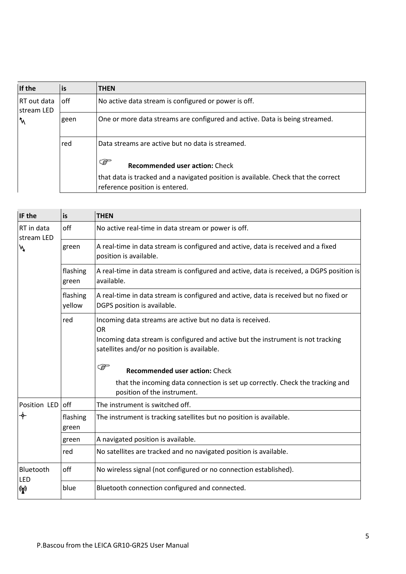| If the                    | is   | <b>THEN</b>                                                                                                          |
|---------------------------|------|----------------------------------------------------------------------------------------------------------------------|
| RT out data<br>stream LED | off  | No active data stream is configured or power is off.                                                                 |
| $\mathcal{N}$             | geen | One or more data streams are configured and active. Data is being streamed.                                          |
|                           | red  | Data streams are active but no data is streamed.                                                                     |
|                           |      | $\mathbb{G}$<br><b>Recommended user action: Check</b>                                                                |
|                           |      | that data is tracked and a navigated position is available. Check that the correct<br>reference position is entered. |

| IF the                   | is                 | <b>THEN</b>                                                                                                                     |
|--------------------------|--------------------|---------------------------------------------------------------------------------------------------------------------------------|
| RT in data<br>stream LED | off                | No active real-time in data stream or power is off.                                                                             |
| N,                       | green              | A real-time in data stream is configured and active, data is received and a fixed<br>position is available.                     |
|                          | flashing<br>green  | A real-time in data stream is configured and active, data is received, a DGPS position is<br>available.                         |
|                          | flashing<br>yellow | A real-time in data stream is configured and active, data is received but no fixed or<br>DGPS position is available.            |
|                          | red                | Incoming data streams are active but no data is received.<br>OR.                                                                |
|                          |                    | Incoming data stream is configured and active but the instrument is not tracking<br>satellites and/or no position is available. |
|                          |                    | <b>PER</b><br><b>Recommended user action: Check</b>                                                                             |
|                          |                    | that the incoming data connection is set up correctly. Check the tracking and<br>position of the instrument.                    |
| Position LED off         |                    | The instrument is switched off.                                                                                                 |
| ✦                        | flashing<br>green  | The instrument is tracking satellites but no position is available.                                                             |
|                          | green              | A navigated position is available.                                                                                              |
|                          | red                | No satellites are tracked and no navigated position is available.                                                               |
| Bluetooth<br>LED         | off                | No wireless signal (not configured or no connection established).                                                               |
| $\binom{r}{k}$           | blue               | Bluetooth connection configured and connected.                                                                                  |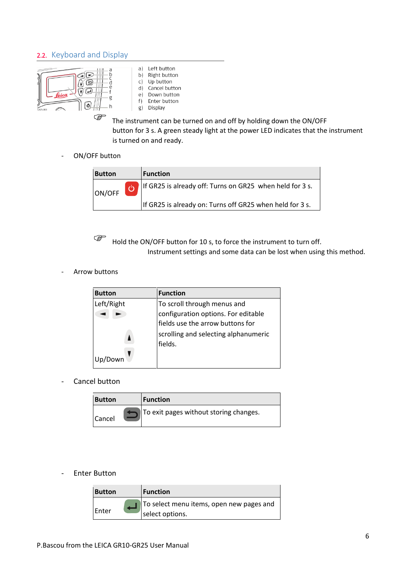#### <span id="page-5-0"></span>2.2. Keyboard and Display



- a) Left button b) Right button Up button  $\subset$  $\overline{d}$ Cancel button Down button  $\theta$ Enter button  $f)$ g) Display
- The instrument can be turned on and off by holding down the ON/OFF button for 3 s. A green steady light at the power LED indicates that the instrument is turned on and ready.
- ON/OFF button

| <b>Button</b> | <b>Function</b>                                                   |
|---------------|-------------------------------------------------------------------|
| ON/OFF        | <b>b</b> If GR25 is already off: Turns on GR25 when held for 3 s. |
|               | If GR25 is already on: Turns off GR25 when held for 3 s.          |

 $\overbrace{\mathbb{R}}^{\mathbb{C}}$  Hold the ON/OFF button for 10 s, to force the instrument to turn off. Instrument settings and some data can be lost when using this method.

Arrow buttons

| <b>Button</b> | <b>Function</b>                      |
|---------------|--------------------------------------|
| Left/Right    | To scroll through menus and          |
|               | configuration options. For editable  |
|               | fields use the arrow buttons for     |
|               | scrolling and selecting alphanumeric |
|               | fields.                              |
|               |                                      |

- Cancel button

| <b>Button</b> | <b>Function</b>                        |
|---------------|----------------------------------------|
| <b>Cancel</b> | To exit pages without storing changes. |

#### - Enter Button

| <b>Button</b> | <b>Function</b>                                              |
|---------------|--------------------------------------------------------------|
| Enter         | To select menu items, open new pages and<br>Iselect options. |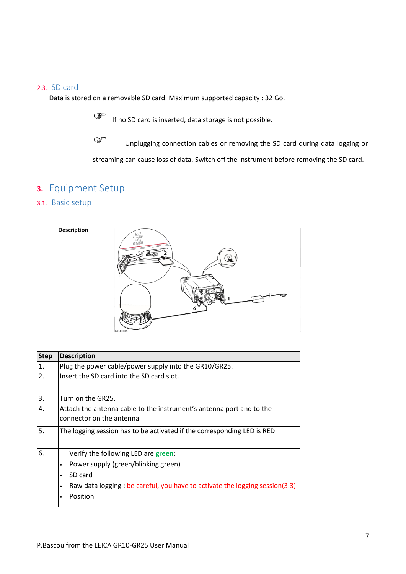#### <span id="page-6-0"></span>2.3. SD card

Data is stored on a removable SD card. Maximum supported capacity : 32 Go.

If no SD card is inserted, data storage is not possible.

Unplugging connection cables or removing the SD card during data logging or streaming can cause loss of data. Switch off the instrument before removing the SD card.

# <span id="page-6-1"></span>**3.** Equipment Setup

#### <span id="page-6-2"></span>3.1. Basic setup





| <b>Step</b> | <b>Description</b>                                                                                |  |  |
|-------------|---------------------------------------------------------------------------------------------------|--|--|
| 1.          | Plug the power cable/power supply into the GR10/GR25.                                             |  |  |
| 2.          | Insert the SD card into the SD card slot.                                                         |  |  |
| 3.          | Turn on the GR25.                                                                                 |  |  |
| 4.          | Attach the antenna cable to the instrument's antenna port and to the<br>connector on the antenna. |  |  |
| 5.          | The logging session has to be activated if the corresponding LED is RED                           |  |  |
| 6.          | Verify the following LED are green:                                                               |  |  |
|             | Power supply (green/blinking green)                                                               |  |  |
|             | SD card                                                                                           |  |  |
|             | Raw data logging : be careful, you have to activate the logging session(3.3)<br>$\bullet$         |  |  |
|             | Position                                                                                          |  |  |